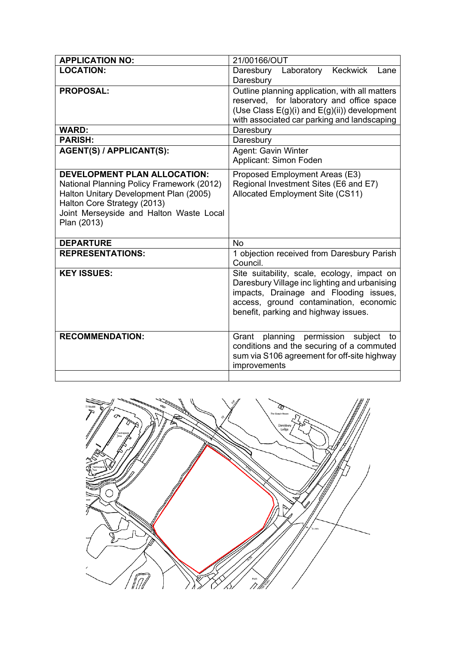| <b>APPLICATION NO:</b>                                                                                                                                                                                              | 21/00166/OUT                                                                                                                                                                                                             |
|---------------------------------------------------------------------------------------------------------------------------------------------------------------------------------------------------------------------|--------------------------------------------------------------------------------------------------------------------------------------------------------------------------------------------------------------------------|
| <b>LOCATION:</b>                                                                                                                                                                                                    | Daresbury Laboratory Keckwick<br>Lane<br>Daresbury                                                                                                                                                                       |
| <b>PROPOSAL:</b><br><b>WARD:</b>                                                                                                                                                                                    | Outline planning application, with all matters<br>reserved, for laboratory and office space<br>(Use Class E(g)(i) and E(g)(ii)) development<br>with associated car parking and landscaping<br>Daresbury                  |
| <b>PARISH:</b>                                                                                                                                                                                                      | Daresbury                                                                                                                                                                                                                |
| AGENT(S) / APPLICANT(S):                                                                                                                                                                                            | Agent: Gavin Winter<br>Applicant: Simon Foden                                                                                                                                                                            |
| <b>DEVELOPMENT PLAN ALLOCATION:</b><br>National Planning Policy Framework (2012)<br>Halton Unitary Development Plan (2005)<br>Halton Core Strategy (2013)<br>Joint Merseyside and Halton Waste Local<br>Plan (2013) | Proposed Employment Areas (E3)<br>Regional Investment Sites (E6 and E7)<br>Allocated Employment Site (CS11)                                                                                                              |
| <b>DEPARTURE</b>                                                                                                                                                                                                    | <b>No</b>                                                                                                                                                                                                                |
| <b>REPRESENTATIONS:</b>                                                                                                                                                                                             | 1 objection received from Daresbury Parish<br>Council.                                                                                                                                                                   |
| <b>KEY ISSUES:</b>                                                                                                                                                                                                  | Site suitability, scale, ecology, impact on<br>Daresbury Village inc lighting and urbanising<br>impacts, Drainage and Flooding issues,<br>access, ground contamination, economic<br>benefit, parking and highway issues. |
| <b>RECOMMENDATION:</b>                                                                                                                                                                                              | permission<br>planning<br>Grant<br>subject<br>to<br>conditions and the securing of a commuted<br>sum via S106 agreement for off-site highway<br>improvements                                                             |

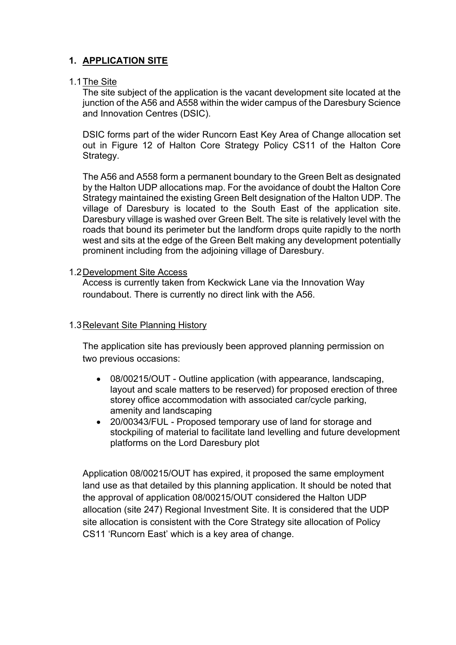# **1. APPLICATION SITE**

## 1.1The Site

The site subject of the application is the vacant development site located at the junction of the A56 and A558 within the wider campus of the Daresbury Science and Innovation Centres (DSIC).

DSIC forms part of the wider Runcorn East Key Area of Change allocation set out in Figure 12 of Halton Core Strategy Policy CS11 of the Halton Core Strategy.

The A56 and A558 form a permanent boundary to the Green Belt as designated by the Halton UDP allocations map. For the avoidance of doubt the Halton Core Strategy maintained the existing Green Belt designation of the Halton UDP. The village of Daresbury is located to the South East of the application site. Daresbury village is washed over Green Belt. The site is relatively level with the roads that bound its perimeter but the landform drops quite rapidly to the north west and sits at the edge of the Green Belt making any development potentially prominent including from the adjoining village of Daresbury.

## 1.2Development Site Access

Access is currently taken from Keckwick Lane via the Innovation Way roundabout. There is currently no direct link with the A56.

# 1.3Relevant Site Planning History

The application site has previously been approved planning permission on two previous occasions:

- 08/00215/OUT Outline application (with appearance, landscaping, layout and scale matters to be reserved) for proposed erection of three storey office accommodation with associated car/cycle parking, amenity and landscaping
- 20/00343/FUL Proposed temporary use of land for storage and stockpiling of material to facilitate land levelling and future development platforms on the Lord Daresbury plot

Application 08/00215/OUT has expired, it proposed the same employment land use as that detailed by this planning application. It should be noted that the approval of application 08/00215/OUT considered the Halton UDP allocation (site 247) Regional Investment Site. It is considered that the UDP site allocation is consistent with the Core Strategy site allocation of Policy CS11 'Runcorn East' which is a key area of change.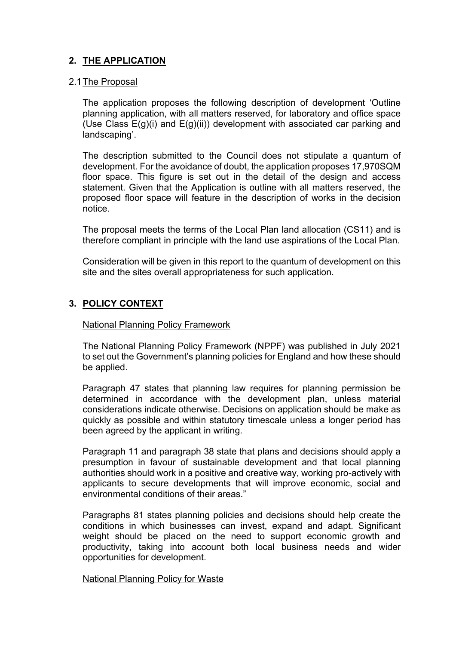# **2. THE APPLICATION**

#### 2.1The Proposal

The application proposes the following description of development 'Outline planning application, with all matters reserved, for laboratory and office space (Use Class E(g)(i) and E(g)(ii)) development with associated car parking and landscaping'.

The description submitted to the Council does not stipulate a quantum of development. For the avoidance of doubt, the application proposes 17,970SQM floor space. This figure is set out in the detail of the design and access statement. Given that the Application is outline with all matters reserved, the proposed floor space will feature in the description of works in the decision notice.

The proposal meets the terms of the Local Plan land allocation (CS11) and is therefore compliant in principle with the land use aspirations of the Local Plan.

Consideration will be given in this report to the quantum of development on this site and the sites overall appropriateness for such application.

# **3. POLICY CONTEXT**

### National Planning Policy Framework

The National Planning Policy Framework (NPPF) was published in July 2021 to set out the Government's planning policies for England and how these should be applied.

Paragraph 47 states that planning law requires for planning permission be determined in accordance with the development plan, unless material considerations indicate otherwise. Decisions on application should be make as quickly as possible and within statutory timescale unless a longer period has been agreed by the applicant in writing.

Paragraph 11 and paragraph 38 state that plans and decisions should apply a presumption in favour of sustainable development and that local planning authorities should work in a positive and creative way, working pro-actively with applicants to secure developments that will improve economic, social and environmental conditions of their areas."

Paragraphs 81 states planning policies and decisions should help create the conditions in which businesses can invest, expand and adapt. Significant weight should be placed on the need to support economic growth and productivity, taking into account both local business needs and wider opportunities for development.

#### National Planning Policy for Waste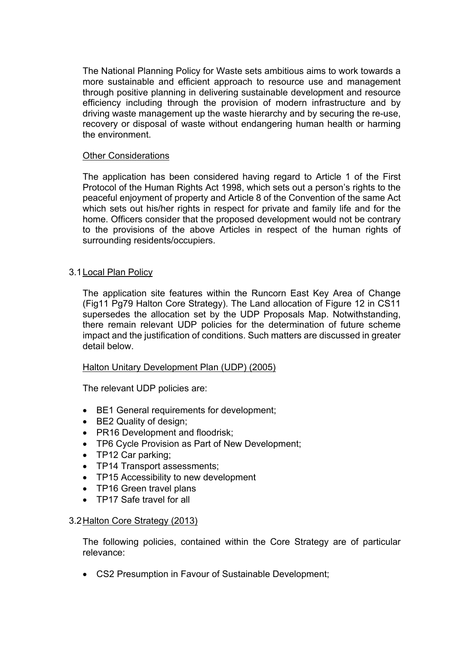The National Planning Policy for Waste sets ambitious aims to work towards a more sustainable and efficient approach to resource use and management through positive planning in delivering sustainable development and resource efficiency including through the provision of modern infrastructure and by driving waste management up the waste hierarchy and by securing the re-use, recovery or disposal of waste without endangering human health or harming the environment.

### Other Considerations

The application has been considered having regard to Article 1 of the First Protocol of the Human Rights Act 1998, which sets out a person's rights to the peaceful enjoyment of property and Article 8 of the Convention of the same Act which sets out his/her rights in respect for private and family life and for the home. Officers consider that the proposed development would not be contrary to the provisions of the above Articles in respect of the human rights of surrounding residents/occupiers.

## 3.1Local Plan Policy

The application site features within the Runcorn East Key Area of Change (Fig11 Pg79 Halton Core Strategy). The Land allocation of Figure 12 in CS11 supersedes the allocation set by the UDP Proposals Map. Notwithstanding, there remain relevant UDP policies for the determination of future scheme impact and the justification of conditions. Such matters are discussed in greater detail below.

## Halton Unitary Development Plan (UDP) (2005)

The relevant UDP policies are:

- BE1 General requirements for development;
- BE2 Quality of design;
- PR16 Development and floodrisk;
- TP6 Cycle Provision as Part of New Development;
- TP12 Car parking;
- TP14 Transport assessments:
- TP15 Accessibility to new development
- TP16 Green travel plans
- TP17 Safe travel for all

## 3.2Halton Core Strategy (2013)

The following policies, contained within the Core Strategy are of particular relevance:

CS2 Presumption in Favour of Sustainable Development;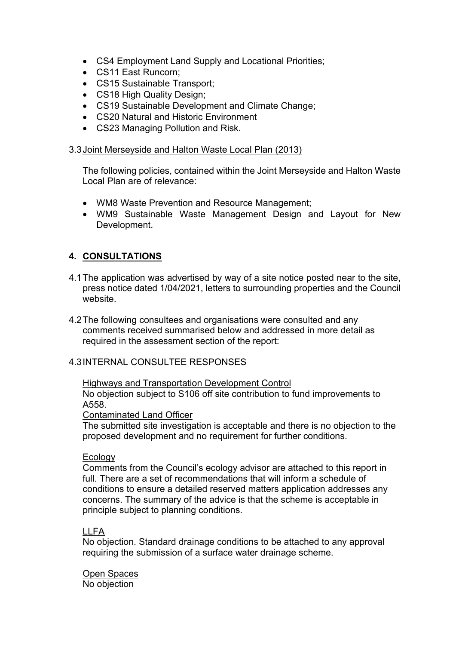- CS4 Employment Land Supply and Locational Priorities;
- CS11 East Runcorn:
- CS15 Sustainable Transport;
- CS18 High Quality Design;
- CS19 Sustainable Development and Climate Change;
- CS20 Natural and Historic Environment
- CS23 Managing Pollution and Risk.

### 3.3Joint Merseyside and Halton Waste Local Plan (2013)

The following policies, contained within the Joint Merseyside and Halton Waste Local Plan are of relevance:

- WM8 Waste Prevention and Resource Management;
- WM9 Sustainable Waste Management Design and Layout for New Development.

# **4. CONSULTATIONS**

- 4.1The application was advertised by way of a site notice posted near to the site, press notice dated 1/04/2021, letters to surrounding properties and the Council website.
- 4.2The following consultees and organisations were consulted and any comments received summarised below and addressed in more detail as required in the assessment section of the report:

## 4.3INTERNAL CONSULTEE RESPONSES

### Highways and Transportation Development Control No objection subject to S106 off site contribution to fund improvements to A558.

#### Contaminated Land Officer

The submitted site investigation is acceptable and there is no objection to the proposed development and no requirement for further conditions.

#### **Ecology**

Comments from the Council's ecology advisor are attached to this report in full. There are a set of recommendations that will inform a schedule of conditions to ensure a detailed reserved matters application addresses any concerns. The summary of the advice is that the scheme is acceptable in principle subject to planning conditions.

## LLFA

No objection. Standard drainage conditions to be attached to any approval requiring the submission of a surface water drainage scheme.

Open Spaces No objection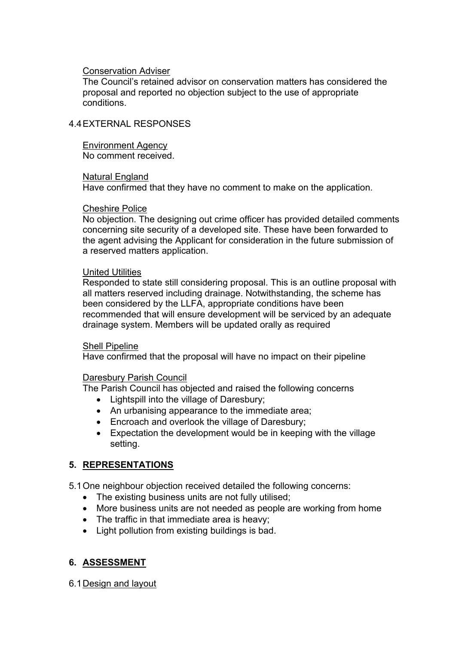#### Conservation Adviser

The Council's retained advisor on conservation matters has considered the proposal and reported no objection subject to the use of appropriate conditions.

# 4.4EXTERNAL RESPONSES

Environment Agency No comment received.

#### Natural England

Have confirmed that they have no comment to make on the application.

#### Cheshire Police

No objection. The designing out crime officer has provided detailed comments concerning site security of a developed site. These have been forwarded to the agent advising the Applicant for consideration in the future submission of a reserved matters application.

#### United Utilities

Responded to state still considering proposal. This is an outline proposal with all matters reserved including drainage. Notwithstanding, the scheme has been considered by the LLFA, appropriate conditions have been recommended that will ensure development will be serviced by an adequate drainage system. Members will be updated orally as required

#### Shell Pipeline

Have confirmed that the proposal will have no impact on their pipeline

## Daresbury Parish Council

The Parish Council has objected and raised the following concerns

- Lightspill into the village of Daresbury;
- An urbanising appearance to the immediate area;
- Encroach and overlook the village of Daresbury;
- Expectation the development would be in keeping with the village setting.

## **5. REPRESENTATIONS**

5.1One neighbour objection received detailed the following concerns:

- The existing business units are not fully utilised;
- More business units are not needed as people are working from home
- The traffic in that immediate area is heavy;
- Light pollution from existing buildings is bad.

# **6. ASSESSMENT**

6.1Design and layout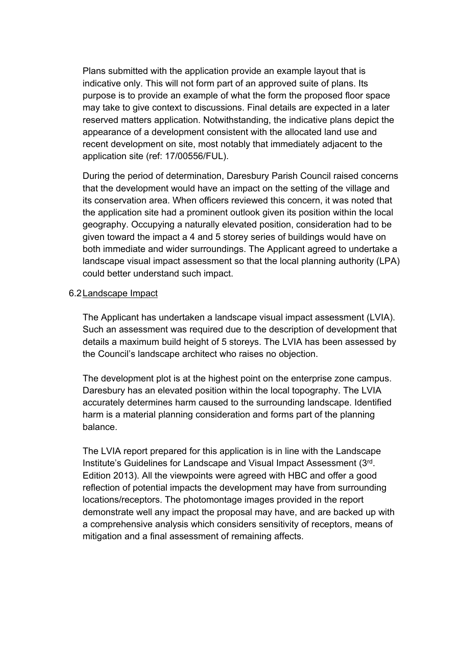Plans submitted with the application provide an example layout that is indicative only. This will not form part of an approved suite of plans. Its purpose is to provide an example of what the form the proposed floor space may take to give context to discussions. Final details are expected in a later reserved matters application. Notwithstanding, the indicative plans depict the appearance of a development consistent with the allocated land use and recent development on site, most notably that immediately adjacent to the application site (ref: 17/00556/FUL).

During the period of determination, Daresbury Parish Council raised concerns that the development would have an impact on the setting of the village and its conservation area. When officers reviewed this concern, it was noted that the application site had a prominent outlook given its position within the local geography. Occupying a naturally elevated position, consideration had to be given toward the impact a 4 and 5 storey series of buildings would have on both immediate and wider surroundings. The Applicant agreed to undertake a landscape visual impact assessment so that the local planning authority (LPA) could better understand such impact.

## 6.2Landscape Impact

The Applicant has undertaken a landscape visual impact assessment (LVIA). Such an assessment was required due to the description of development that details a maximum build height of 5 storeys. The LVIA has been assessed by the Council's landscape architect who raises no objection.

The development plot is at the highest point on the enterprise zone campus. Daresbury has an elevated position within the local topography. The LVIA accurately determines harm caused to the surrounding landscape. Identified harm is a material planning consideration and forms part of the planning balance.

The LVIA report prepared for this application is in line with the Landscape Institute's Guidelines for Landscape and Visual Impact Assessment (3rd. Edition 2013). All the viewpoints were agreed with HBC and offer a good reflection of potential impacts the development may have from surrounding locations/receptors. The photomontage images provided in the report demonstrate well any impact the proposal may have, and are backed up with a comprehensive analysis which considers sensitivity of receptors, means of mitigation and a final assessment of remaining affects.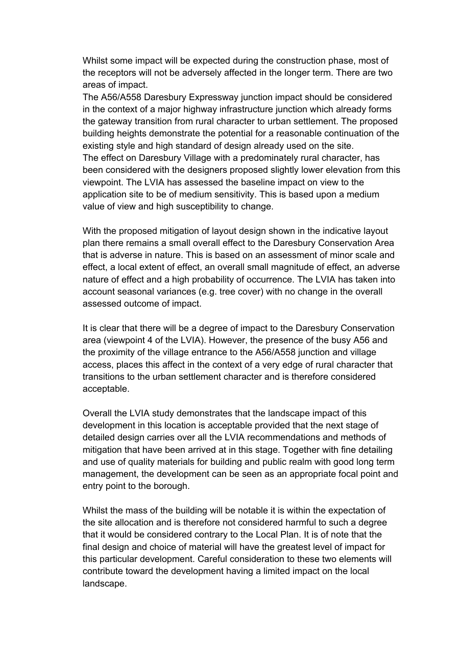Whilst some impact will be expected during the construction phase, most of the receptors will not be adversely affected in the longer term. There are two areas of impact.

The A56/A558 Daresbury Expressway junction impact should be considered in the context of a major highway infrastructure junction which already forms the gateway transition from rural character to urban settlement. The proposed building heights demonstrate the potential for a reasonable continuation of the existing style and high standard of design already used on the site. The effect on Daresbury Village with a predominately rural character, has been considered with the designers proposed slightly lower elevation from this viewpoint. The LVIA has assessed the baseline impact on view to the application site to be of medium sensitivity. This is based upon a medium value of view and high susceptibility to change.

With the proposed mitigation of layout design shown in the indicative layout plan there remains a small overall effect to the Daresbury Conservation Area that is adverse in nature. This is based on an assessment of minor scale and effect, a local extent of effect, an overall small magnitude of effect, an adverse nature of effect and a high probability of occurrence. The LVIA has taken into account seasonal variances (e.g. tree cover) with no change in the overall assessed outcome of impact.

It is clear that there will be a degree of impact to the Daresbury Conservation area (viewpoint 4 of the LVIA). However, the presence of the busy A56 and the proximity of the village entrance to the A56/A558 junction and village access, places this affect in the context of a very edge of rural character that transitions to the urban settlement character and is therefore considered acceptable.

Overall the LVIA study demonstrates that the landscape impact of this development in this location is acceptable provided that the next stage of detailed design carries over all the LVIA recommendations and methods of mitigation that have been arrived at in this stage. Together with fine detailing and use of quality materials for building and public realm with good long term management, the development can be seen as an appropriate focal point and entry point to the borough.

Whilst the mass of the building will be notable it is within the expectation of the site allocation and is therefore not considered harmful to such a degree that it would be considered contrary to the Local Plan. It is of note that the final design and choice of material will have the greatest level of impact for this particular development. Careful consideration to these two elements will contribute toward the development having a limited impact on the local landscape.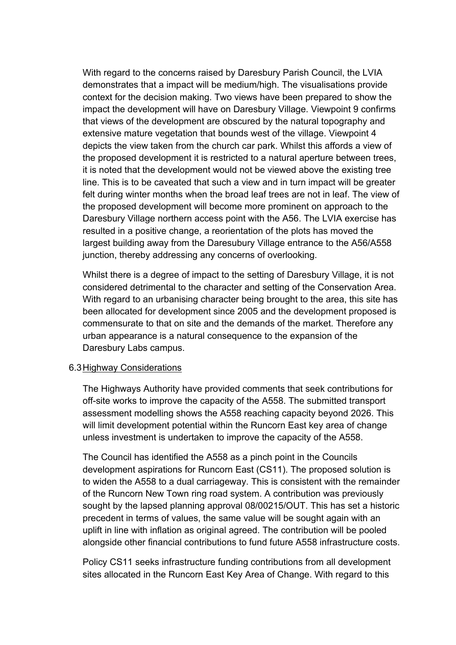With regard to the concerns raised by Daresbury Parish Council, the LVIA demonstrates that a impact will be medium/high. The visualisations provide context for the decision making. Two views have been prepared to show the impact the development will have on Daresbury Village. Viewpoint 9 confirms that views of the development are obscured by the natural topography and extensive mature vegetation that bounds west of the village. Viewpoint 4 depicts the view taken from the church car park. Whilst this affords a view of the proposed development it is restricted to a natural aperture between trees, it is noted that the development would not be viewed above the existing tree line. This is to be caveated that such a view and in turn impact will be greater felt during winter months when the broad leaf trees are not in leaf. The view of the proposed development will become more prominent on approach to the Daresbury Village northern access point with the A56. The LVIA exercise has resulted in a positive change, a reorientation of the plots has moved the largest building away from the Daresubury Village entrance to the A56/A558 junction, thereby addressing any concerns of overlooking.

Whilst there is a degree of impact to the setting of Daresbury Village, it is not considered detrimental to the character and setting of the Conservation Area. With regard to an urbanising character being brought to the area, this site has been allocated for development since 2005 and the development proposed is commensurate to that on site and the demands of the market. Therefore any urban appearance is a natural consequence to the expansion of the Daresbury Labs campus.

## 6.3Highway Considerations

The Highways Authority have provided comments that seek contributions for off-site works to improve the capacity of the A558. The submitted transport assessment modelling shows the A558 reaching capacity beyond 2026. This will limit development potential within the Runcorn East key area of change unless investment is undertaken to improve the capacity of the A558.

The Council has identified the A558 as a pinch point in the Councils development aspirations for Runcorn East (CS11). The proposed solution is to widen the A558 to a dual carriageway. This is consistent with the remainder of the Runcorn New Town ring road system. A contribution was previously sought by the lapsed planning approval 08/00215/OUT. This has set a historic precedent in terms of values, the same value will be sought again with an uplift in line with inflation as original agreed. The contribution will be pooled alongside other financial contributions to fund future A558 infrastructure costs.

Policy CS11 seeks infrastructure funding contributions from all development sites allocated in the Runcorn East Key Area of Change. With regard to this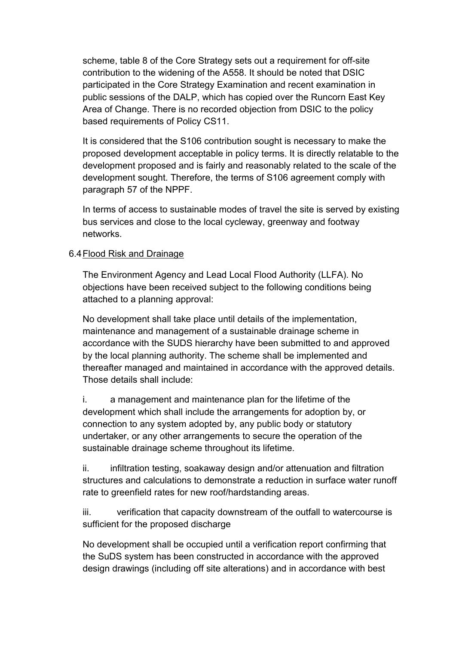scheme, table 8 of the Core Strategy sets out a requirement for off-site contribution to the widening of the A558. It should be noted that DSIC participated in the Core Strategy Examination and recent examination in public sessions of the DALP, which has copied over the Runcorn East Key Area of Change. There is no recorded objection from DSIC to the policy based requirements of Policy CS11.

It is considered that the S106 contribution sought is necessary to make the proposed development acceptable in policy terms. It is directly relatable to the development proposed and is fairly and reasonably related to the scale of the development sought. Therefore, the terms of S106 agreement comply with paragraph 57 of the NPPF.

In terms of access to sustainable modes of travel the site is served by existing bus services and close to the local cycleway, greenway and footway networks.

# 6.4Flood Risk and Drainage

The Environment Agency and Lead Local Flood Authority (LLFA). No objections have been received subject to the following conditions being attached to a planning approval:

No development shall take place until details of the implementation, maintenance and management of a sustainable drainage scheme in accordance with the SUDS hierarchy have been submitted to and approved by the local planning authority. The scheme shall be implemented and thereafter managed and maintained in accordance with the approved details. Those details shall include:

i. a management and maintenance plan for the lifetime of the development which shall include the arrangements for adoption by, or connection to any system adopted by, any public body or statutory undertaker, or any other arrangements to secure the operation of the sustainable drainage scheme throughout its lifetime.

ii. infiltration testing, soakaway design and/or attenuation and filtration structures and calculations to demonstrate a reduction in surface water runoff rate to greenfield rates for new roof/hardstanding areas.

iii. verification that capacity downstream of the outfall to watercourse is sufficient for the proposed discharge

No development shall be occupied until a verification report confirming that the SuDS system has been constructed in accordance with the approved design drawings (including off site alterations) and in accordance with best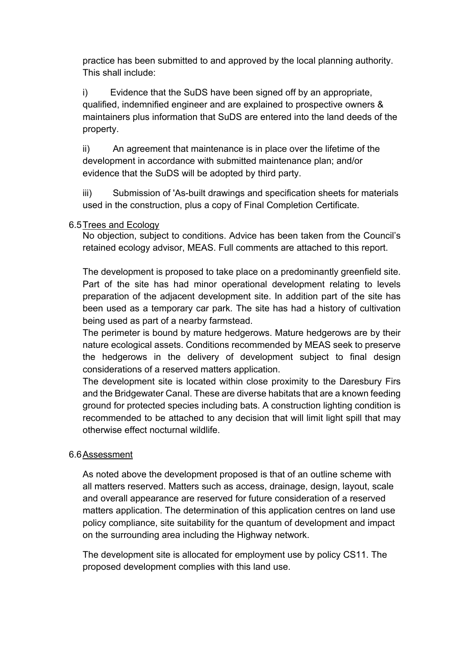practice has been submitted to and approved by the local planning authority. This shall include:

i) Evidence that the SuDS have been signed off by an appropriate, qualified, indemnified engineer and are explained to prospective owners & maintainers plus information that SuDS are entered into the land deeds of the property.

ii) An agreement that maintenance is in place over the lifetime of the development in accordance with submitted maintenance plan; and/or evidence that the SuDS will be adopted by third party.

iii) Submission of 'As-built drawings and specification sheets for materials used in the construction, plus a copy of Final Completion Certificate.

# 6.5Trees and Ecology

No objection, subject to conditions. Advice has been taken from the Council's retained ecology advisor, MEAS. Full comments are attached to this report.

The development is proposed to take place on a predominantly greenfield site. Part of the site has had minor operational development relating to levels preparation of the adjacent development site. In addition part of the site has been used as a temporary car park. The site has had a history of cultivation being used as part of a nearby farmstead.

The perimeter is bound by mature hedgerows. Mature hedgerows are by their nature ecological assets. Conditions recommended by MEAS seek to preserve the hedgerows in the delivery of development subject to final design considerations of a reserved matters application.

The development site is located within close proximity to the Daresbury Firs and the Bridgewater Canal. These are diverse habitats that are a known feeding ground for protected species including bats. A construction lighting condition is recommended to be attached to any decision that will limit light spill that may otherwise effect nocturnal wildlife.

# 6.6Assessment

As noted above the development proposed is that of an outline scheme with all matters reserved. Matters such as access, drainage, design, layout, scale and overall appearance are reserved for future consideration of a reserved matters application. The determination of this application centres on land use policy compliance, site suitability for the quantum of development and impact on the surrounding area including the Highway network.

The development site is allocated for employment use by policy CS11. The proposed development complies with this land use.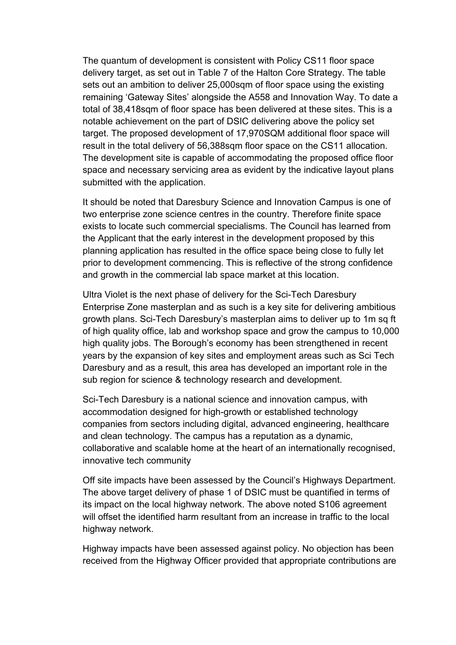The quantum of development is consistent with Policy CS11 floor space delivery target, as set out in Table 7 of the Halton Core Strategy. The table sets out an ambition to deliver 25,000sqm of floor space using the existing remaining 'Gateway Sites' alongside the A558 and Innovation Way. To date a total of 38,418sqm of floor space has been delivered at these sites. This is a notable achievement on the part of DSIC delivering above the policy set target. The proposed development of 17,970SQM additional floor space will result in the total delivery of 56,388sqm floor space on the CS11 allocation. The development site is capable of accommodating the proposed office floor space and necessary servicing area as evident by the indicative layout plans submitted with the application.

It should be noted that Daresbury Science and Innovation Campus is one of two enterprise zone science centres in the country. Therefore finite space exists to locate such commercial specialisms. The Council has learned from the Applicant that the early interest in the development proposed by this planning application has resulted in the office space being close to fully let prior to development commencing. This is reflective of the strong confidence and growth in the commercial lab space market at this location.

Ultra Violet is the next phase of delivery for the Sci-Tech Daresbury Enterprise Zone masterplan and as such is a key site for delivering ambitious growth plans. Sci-Tech Daresbury's masterplan aims to deliver up to 1m sq ft of high quality office, lab and workshop space and grow the campus to 10,000 high quality jobs. The Borough's economy has been strengthened in recent years by the expansion of key sites and employment areas such as Sci Tech Daresbury and as a result, this area has developed an important role in the sub region for science & technology research and development.

Sci-Tech Daresbury is a national science and innovation campus, with accommodation designed for high-growth or established technology companies from sectors including digital, advanced engineering, healthcare and clean technology. The campus has a reputation as a dynamic, collaborative and scalable home at the heart of an internationally recognised, innovative tech community

Off site impacts have been assessed by the Council's Highways Department. The above target delivery of phase 1 of DSIC must be quantified in terms of its impact on the local highway network. The above noted S106 agreement will offset the identified harm resultant from an increase in traffic to the local highway network.

Highway impacts have been assessed against policy. No objection has been received from the Highway Officer provided that appropriate contributions are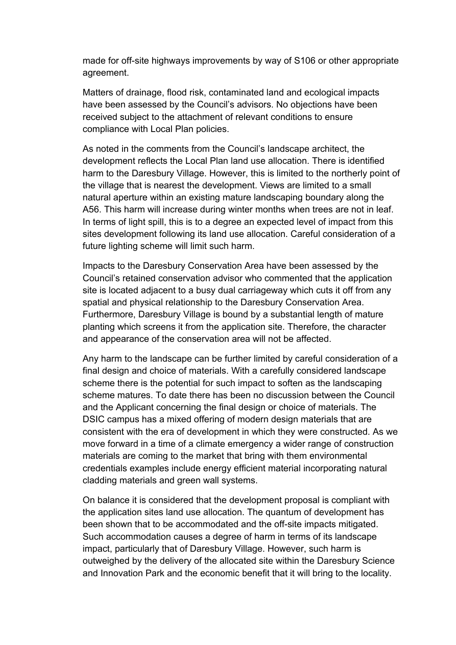made for off-site highways improvements by way of S106 or other appropriate agreement.

Matters of drainage, flood risk, contaminated land and ecological impacts have been assessed by the Council's advisors. No objections have been received subject to the attachment of relevant conditions to ensure compliance with Local Plan policies.

As noted in the comments from the Council's landscape architect, the development reflects the Local Plan land use allocation. There is identified harm to the Daresbury Village. However, this is limited to the northerly point of the village that is nearest the development. Views are limited to a small natural aperture within an existing mature landscaping boundary along the A56. This harm will increase during winter months when trees are not in leaf. In terms of light spill, this is to a degree an expected level of impact from this sites development following its land use allocation. Careful consideration of a future lighting scheme will limit such harm.

Impacts to the Daresbury Conservation Area have been assessed by the Council's retained conservation advisor who commented that the application site is located adjacent to a busy dual carriageway which cuts it off from any spatial and physical relationship to the Daresbury Conservation Area. Furthermore, Daresbury Village is bound by a substantial length of mature planting which screens it from the application site. Therefore, the character and appearance of the conservation area will not be affected.

Any harm to the landscape can be further limited by careful consideration of a final design and choice of materials. With a carefully considered landscape scheme there is the potential for such impact to soften as the landscaping scheme matures. To date there has been no discussion between the Council and the Applicant concerning the final design or choice of materials. The DSIC campus has a mixed offering of modern design materials that are consistent with the era of development in which they were constructed. As we move forward in a time of a climate emergency a wider range of construction materials are coming to the market that bring with them environmental credentials examples include energy efficient material incorporating natural cladding materials and green wall systems.

On balance it is considered that the development proposal is compliant with the application sites land use allocation. The quantum of development has been shown that to be accommodated and the off-site impacts mitigated. Such accommodation causes a degree of harm in terms of its landscape impact, particularly that of Daresbury Village. However, such harm is outweighed by the delivery of the allocated site within the Daresbury Science and Innovation Park and the economic benefit that it will bring to the locality.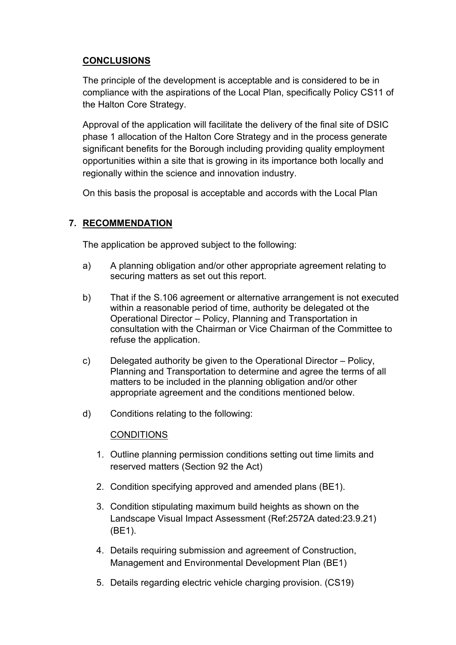# **CONCLUSIONS**

The principle of the development is acceptable and is considered to be in compliance with the aspirations of the Local Plan, specifically Policy CS11 of the Halton Core Strategy.

Approval of the application will facilitate the delivery of the final site of DSIC phase 1 allocation of the Halton Core Strategy and in the process generate significant benefits for the Borough including providing quality employment opportunities within a site that is growing in its importance both locally and regionally within the science and innovation industry.

On this basis the proposal is acceptable and accords with the Local Plan

# **7. RECOMMENDATION**

The application be approved subject to the following:

- a) A planning obligation and/or other appropriate agreement relating to securing matters as set out this report.
- b) That if the S.106 agreement or alternative arrangement is not executed within a reasonable period of time, authority be delegated ot the Operational Director – Policy, Planning and Transportation in consultation with the Chairman or Vice Chairman of the Committee to refuse the application.
- c) Delegated authority be given to the Operational Director Policy, Planning and Transportation to determine and agree the terms of all matters to be included in the planning obligation and/or other appropriate agreement and the conditions mentioned below.
- d) Conditions relating to the following:

# **CONDITIONS**

- 1. Outline planning permission conditions setting out time limits and reserved matters (Section 92 the Act)
- 2. Condition specifying approved and amended plans (BE1).
- 3. Condition stipulating maximum build heights as shown on the Landscape Visual Impact Assessment (Ref:2572A dated:23.9.21) (BE1).
- 4. Details requiring submission and agreement of Construction, Management and Environmental Development Plan (BE1)
- 5. Details regarding electric vehicle charging provision. (CS19)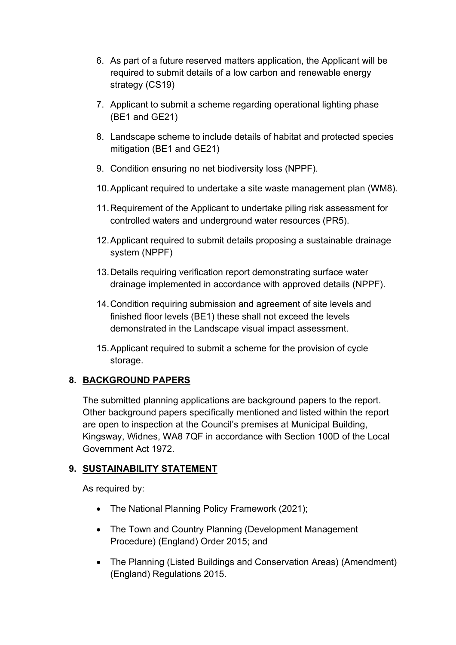- 6. As part of a future reserved matters application, the Applicant will be required to submit details of a low carbon and renewable energy strategy (CS19)
- 7. Applicant to submit a scheme regarding operational lighting phase (BE1 and GE21)
- 8. Landscape scheme to include details of habitat and protected species mitigation (BE1 and GE21)
- 9. Condition ensuring no net biodiversity loss (NPPF).
- 10.Applicant required to undertake a site waste management plan (WM8).
- 11.Requirement of the Applicant to undertake piling risk assessment for controlled waters and underground water resources (PR5).
- 12.Applicant required to submit details proposing a sustainable drainage system (NPPF)
- 13.Details requiring verification report demonstrating surface water drainage implemented in accordance with approved details (NPPF).
- 14.Condition requiring submission and agreement of site levels and finished floor levels (BE1) these shall not exceed the levels demonstrated in the Landscape visual impact assessment.
- 15.Applicant required to submit a scheme for the provision of cycle storage.

# **8. BACKGROUND PAPERS**

The submitted planning applications are background papers to the report. Other background papers specifically mentioned and listed within the report are open to inspection at the Council's premises at Municipal Building, Kingsway, Widnes, WA8 7QF in accordance with Section 100D of the Local Government Act 1972.

# **9. SUSTAINABILITY STATEMENT**

As required by:

- The National Planning Policy Framework (2021);
- The Town and Country Planning (Development Management Procedure) (England) Order 2015; and
- The Planning (Listed Buildings and Conservation Areas) (Amendment) (England) Regulations 2015.